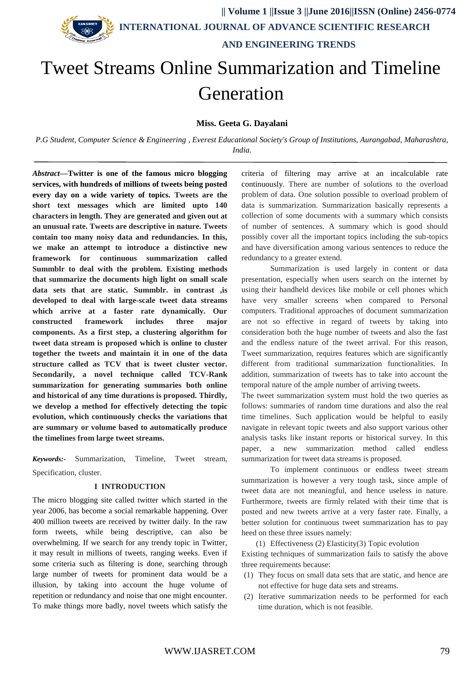

 **|| Volume 1 ||Issue 3 ||June 2016||ISSN (Online) 2456-0774 INTERNATIONAL JOURNAL OF ADVANCE SCIENTIFIC RESEARCH AND ENGINEERING TRENDS**

# Tweet Streams Online Summarization and Timeline Generation

**Miss. Geeta G. Dayalani**

*P.G Student, Computer Science & Engineering , Everest Educational Society's Group of Institutions, Aurangabad, Maharashtra, India.*

*Abstract***—Twitter is one of the famous micro blogging services, with hundreds of millions of tweets being posted every day on a wide variety of topics. Tweets are the short text messages which are limited upto 140 characters in length. They are generated and given out at an unusual rate. Tweets are descriptive in nature. Tweets contain too many noisy data and redundancies. In this, we make an attempt to introduce a distinctive new framework for continuous summarization called Summblr to deal with the problem. Existing methods that summarize the documents high light on small scale data sets that are static. Summblr. in contrast ,is developed to deal with large-scale tweet data streams which arrive at a faster rate dynamically. Our constructed framework includes three major components. As a first step, a clustering algorithm for tweet data stream is proposed which is online to cluster together the tweets and maintain it in one of the data structure called as TCV that is tweet cluster vector. Secondarily, a novel technique called TCV-Rank summarization for generating summaries both online and historical of any time durations is proposed. Thirdly, we develop a method for effectively detecting the topic evolution, which continuously checks the variations that are summary or volume based to automatically produce the timelines from large tweet streams.**

*Keywords:-* Summarization, Timeline, Tweet stream, Specification, cluster.

#### **I INTRODUCTION**

The micro blogging site called twitter which started in the year 2006, has become a social remarkable happening. Over 400 million tweets are received by twitter daily. In the raw form tweets, while being descriptive, can also be overwhelming. If we search for any trendy topic in Twitter, it may result in millions of tweets, ranging weeks. Even if some criteria such as filtering is done, searching through large number of tweets for prominent data would be a illusion, by taking into account the huge volume of repetition or redundancy and noise that one might encounter. To make things more badly, novel tweets which satisfy the

criteria of filtering may arrive at an incalculable rate continuously. There are number of solutions to the overload problem of data. One solution possible to overload problem of data is summarization. Summarization basically represents a collection of some documents with a summary which consists of number of sentences. A summary which is good should possibly cover all the important topics including the sub-topics and have diversification among various sentences to reduce the redundancy to a greater extend.

Summarization is used largely in content or data presentation, especially when users search on the internet by using their handheld devices like mobile or cell phones which have very smaller screens when compared to Personal computers. Traditional approaches of document summarization are not so effective in regard of tweets by taking into consideration both the huge number of tweets and also the fast and the endless nature of the tweet arrival. For this reason, Tweet summarization, requires features which are significantly different from traditional summarization functionalities. In addition, summarization of tweets has to take into account the temporal nature of the ample number of arriving tweets.

The tweet summarization system must hold the two queries as follows: summaries of random time durations and also the real time timelines. Such application would be helpful to easily navigate in relevant topic tweets and also support various other analysis tasks like instant reports or historical survey. In this paper, a new summarization method called endless summarization for tweet data streams is proposed.

To implement continuous or endless tweet stream summarization is however a very tough task, since ample of tweet data are not meaningful, and hence useless in nature. Furthermore, tweets are firmly related with their time that is posted and new tweets arrive at a very faster rate. Finally, a better solution for continuous tweet summarization has to pay heed on these three issues namely:

(1) Effectiveness (2) Elasticity(3) Topic evolution Existing techniques of summarization fails to satisfy the above three requirements because:

- (1) They focus on small data sets that are static, and hence are not effective for huge data sets and streams.
- (2) Iterative summarization needs to be performed for each time duration, which is not feasible.

## WWW.IJASRET.COM 79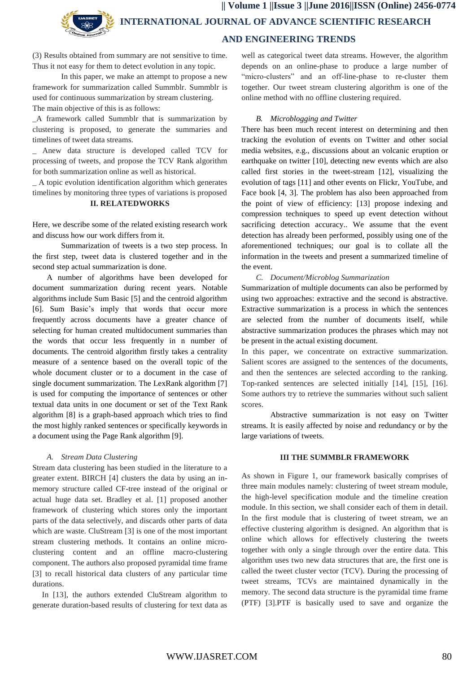**|| Volume 1 ||Issue 3 ||June 2016||ISSN (Online) 2456-0774 INTERNATIONAL JOURNAL OF ADVANCE SCIENTIFIC RESEARCH AND ENGINEERING TRENDS**

(3) Results obtained from summary are not sensitive to time. Thus it not easy for them to detect evolution in any topic.

In this paper, we make an attempt to propose a new framework for summarization called Summblr. Summblr is used for continuous summarization by stream clustering. The main objective of this is as follows:

\_A framework called Summblr that is summarization by clustering is proposed, to generate the summaries and timelines of tweet data streams.

\_ Anew data structure is developed called TCV for processing of tweets, and propose the TCV Rank algorithm for both summarization online as well as historical.

\_ A topic evolution identification algorithm which generates timelines by monitoring three types of variations is proposed

## **II. RELATEDWORKS**

Here, we describe some of the related existing research work and discuss how our work differs from it.

Summarization of tweets is a two step process. In the first step, tweet data is clustered together and in the second step actual summarization is done.

A number of algorithms have been developed for document summarization during recent years. Notable algorithms include Sum Basic [5] and the centroid algorithm [6]. Sum Basic's imply that words that occur more frequently across documents have a greater chance of selecting for human created multidocument summaries than the words that occur less frequently in n number of documents. The centroid algorithm firstly takes a centrality measure of a sentence based on the overall topic of the whole document cluster or to a document in the case of single document summarization. The LexRank algorithm [7] is used for computing the importance of sentences or other textual data units in one document or set of the Text Rank algorithm [8] is a graph-based approach which tries to find the most highly ranked sentences or specifically keywords in a document using the Page Rank algorithm [9].

#### *A. Stream Data Clustering*

Stream data clustering has been studied in the literature to a greater extent. BIRCH [4] clusters the data by using an inmemory structure called CF-tree instead of the original or actual huge data set. Bradley et al. [1] proposed another framework of clustering which stores only the important parts of the data selectively, and discards other parts of data which are waste. CluStream [3] is one of the most important stream clustering methods. It contains an online microclustering content and an offline macro-clustering component. The authors also proposed pyramidal time frame [3] to recall historical data clusters of any particular time durations.

In [13], the authors extended CluStream algorithm to generate duration-based results of clustering for text data as

well as categorical tweet data streams. However, the algorithm depends on an online-phase to produce a large number of "micro-clusters" and an off-line-phase to re-cluster them together. Our tweet stream clustering algorithm is one of the online method with no offline clustering required.

#### *B. Microblogging and Twitter*

There has been much recent interest on determining and then tracking the evolution of events on Twitter and other social media websites, e.g., discussions about an volcanic eruption or earthquake on twitter [10], detecting new events which are also called first stories in the tweet-stream [12], visualizing the evolution of tags [11] and other events on Flickr, YouTube, and Face book [4, 3]. The problem has also been approached from the point of view of efficiency: [13] propose indexing and compression techniques to speed up event detection without sacrificing detection accuracy.. We assume that the event detection has already been performed, possibly using one of the aforementioned techniques; our goal is to collate all the information in the tweets and present a summarized timeline of the event.

## *C. Document/Microblog Summarization*

Summarization of multiple documents can also be performed by using two approaches: extractive and the second is abstractive. Extractive summarization is a process in which the sentences are selected from the number of documents itself, while abstractive summarization produces the phrases which may not be present in the actual existing document.

In this paper, we concentrate on extractive summarization. Salient scores are assigned to the sentences of the documents, and then the sentences are selected according to the ranking. Top-ranked sentences are selected initially [14], [15], [16]. Some authors try to retrieve the summaries without such salient scores.

Abstractive summarization is not easy on Twitter streams. It is easily affected by noise and redundancy or by the large variations of tweets.

#### **III THE SUMMBLR FRAMEWORK**

As shown in Figure 1, our framework basically comprises of three main modules namely: clustering of tweet stream module, the high-level specification module and the timeline creation module. In this section, we shall consider each of them in detail. In the first module that is clustering of tweet stream, we an effective clustering algorithm is designed. An algorithm that is online which allows for effectively clustering the tweets together with only a single through over the entire data. This algorithm uses two new data structures that are, the first one is called the tweet cluster vector (TCV). During the processing of tweet streams, TCVs are maintained dynamically in the memory. The second data structure is the pyramidal time frame (PTF) [3].PTF is basically used to save and organize the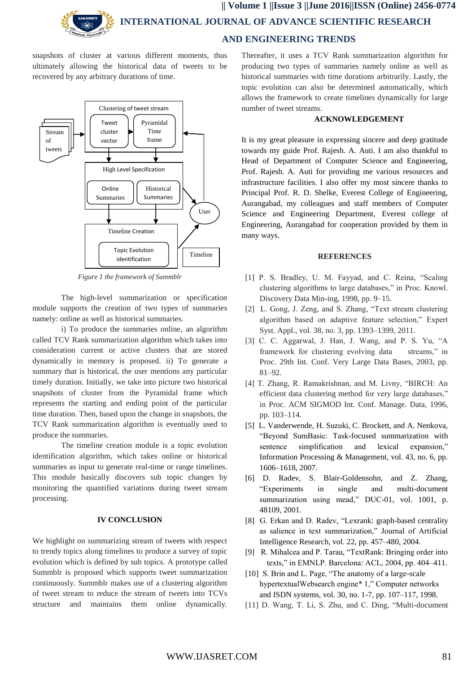

snapshots of cluster at various different moments, thus ultimately allowing the historical data of tweets to be recovered by any arbitrary durations of time.



*Figure 1 the framework of Summblr*

The high-level summarization or specification module supports the creation of two types of summaries namely: online as well as historical summaries.

i) To produce the summaries online, an algorithm called TCV Rank summarization algorithm which takes into consideration current or active clusters that are stored dynamically in memory is proposed. ii) To generate a summary that is historical, the user mentions any particular timely duration. Initially, we take into picture two historical snapshots of cluster from the Pyramidal frame which represents the starting and ending point of the particular time duration. Then, based upon the change in snapshots, the TCV Rank summarization algorithm is eventually used to produce the summaries.

The timeline creation module is a topic evolution identification algorithm, which takes online or historical summaries as input to generate real-time or range timelines. This module basically discovers sub topic changes by monitoring the quantified variations during tweet stream processing.

### **IV CONCLUSION**

We highlight on summarizing stream of tweets with respect to trendy topics along timelines to produce a survey of topic evolution which is defined by sub topics. A prototype called Summblr is proposed which supports tweet summarization continuously. Summblr makes use of a clustering algorithm of tweet stream to reduce the stream of tweets into TCVs structure and maintains them online dynamically. Thereafter, it uses a TCV Rank summarization algorithm for producing two types of summaries namely online as well as historical summaries with time durations arbitrarily. Lastly, the topic evolution can also be determined automatically, which allows the framework to create timelines dynamically for large number of tweet streams.

## **ACKNOWLEDGEMENT**

It is my great pleasure in expressing sincere and deep gratitude towards my guide Prof. Rajesh. A. Auti. I am also thankful to Head of Department of Computer Science and Engineering, Prof. Rajesh. A. Auti for providing me various resources and infrastructure facilities. I also offer my most sincere thanks to Principal Prof. R. D. Shelke, Everest College of Engineering, Aurangabad, my colleagues and staff members of Computer Science and Engineering Department, Everest college of Engineering, Aurangabad for cooperation provided by them in many ways.

#### **REFERENCES**

- [1] P. S. Bradley, U. M. Fayyad, and C. Reina, "Scaling clustering algorithms to large databases," in Proc. Knowl. Discovery Data Min-ing, 1998, pp. 9–15.
- [2] L. Gong, J. Zeng, and S. Zhang, "Text stream clustering algorithm based on adaptive feature selection," Expert Syst. Appl., vol. 38, no. 3, pp. 1393–1399, 2011.
- [3] C. C. Aggarwal, J. Han, J. Wang, and P. S. Yu, "A framework for clustering evolving data streams," in Proc. 29th Int. Conf. Very Large Data Bases, 2003, pp. 81–92.
- [4] T. Zhang, R. Ramakrishnan, and M. Livny, "BIRCH: An efficient data clustering method for very large databases," in Proc. ACM SIGMOD Int. Conf. Manage. Data, 1996, pp. 103–114.
- [5] L. Vanderwende, H. Suzuki, C. Brockett, and A. Nenkova, "Beyond SumBasic: Task-focused summarization with sentence simplification and lexical expansion," Information Processing & Management, vol. 43, no. 6, pp. 1606–1618, 2007.
- [6] D. Radev, S. Blair-Goldensohn, and Z. Zhang, "Experiments in single and multi-document summarization using mead," DUC-01, vol. 1001, p. 48109, 2001.
- [8] G. Erkan and D. Radev, "Lexrank: graph-based centrality as salience in text summarization," Journal of Artificial Intelligence Research, vol. 22, pp. 457–480, 2004.
- [9] R. Mihalcea and P. Tarau, "TextRank: Bringing order into texts," in EMNLP. Barcelona: ACL, 2004, pp. 404–411.
- [10] S. Brin and L. Page, "The anatomy of a large-scale" hypertextualWebsearch engine\* 1," Computer networks and ISDN systems, vol. 30, no. 1-7, pp. 107–117, 1998.
- [11] D. Wang, T. Li, S. Zhu, and C. Ding, "Multi-document